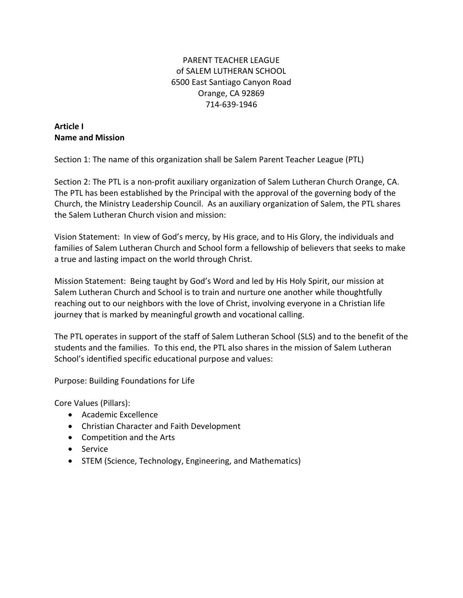## PARENT TEACHER LEAGUE of SALEM LUTHERAN SCHOOL 6500 East Santiago Canyon Road Orange, CA 92869 714-639-1946

#### **Article I Name and Mission**

Section 1: The name of this organization shall be Salem Parent Teacher League (PTL)

Section 2: The PTL is a non-profit auxiliary organization of Salem Lutheran Church Orange, CA. The PTL has been established by the Principal with the approval of the governing body of the Church, the Ministry Leadership Council. As an auxiliary organization of Salem, the PTL shares the Salem Lutheran Church vision and mission:

Vision Statement: In view of God's mercy, by His grace, and to His Glory, the individuals and families of Salem Lutheran Church and School form a fellowship of believers that seeks to make a true and lasting impact on the world through Christ.

Mission Statement: Being taught by God's Word and led by His Holy Spirit, our mission at Salem Lutheran Church and School is to train and nurture one another while thoughtfully reaching out to our neighbors with the love of Christ, involving everyone in a Christian life journey that is marked by meaningful growth and vocational calling.

The PTL operates in support of the staff of Salem Lutheran School (SLS) and to the benefit of the students and the families. To this end, the PTL also shares in the mission of Salem Lutheran School's identified specific educational purpose and values:

Purpose: Building Foundations for Life

Core Values (Pillars):

- Academic Excellence
- Christian Character and Faith Development
- Competition and the Arts
- Service
- STEM (Science, Technology, Engineering, and Mathematics)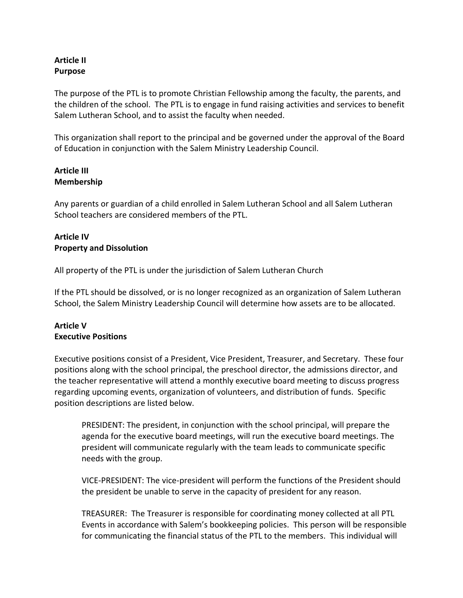## **Article II Purpose**

The purpose of the PTL is to promote Christian Fellowship among the faculty, the parents, and the children of the school. The PTL is to engage in fund raising activities and services to benefit Salem Lutheran School, and to assist the faculty when needed.

This organization shall report to the principal and be governed under the approval of the Board of Education in conjunction with the Salem Ministry Leadership Council.

#### **Article III Membership**

Any parents or guardian of a child enrolled in Salem Lutheran School and all Salem Lutheran School teachers are considered members of the PTL.

## **Article IV Property and Dissolution**

All property of the PTL is under the jurisdiction of Salem Lutheran Church

If the PTL should be dissolved, or is no longer recognized as an organization of Salem Lutheran School, the Salem Ministry Leadership Council will determine how assets are to be allocated.

# **Article V Executive Positions**

Executive positions consist of a President, Vice President, Treasurer, and Secretary. These four positions along with the school principal, the preschool director, the admissions director, and the teacher representative will attend a monthly executive board meeting to discuss progress regarding upcoming events, organization of volunteers, and distribution of funds. Specific position descriptions are listed below.

PRESIDENT: The president, in conjunction with the school principal, will prepare the agenda for the executive board meetings, will run the executive board meetings. The president will communicate regularly with the team leads to communicate specific needs with the group.

VICE-PRESIDENT: The vice-president will perform the functions of the President should the president be unable to serve in the capacity of president for any reason.

TREASURER: The Treasurer is responsible for coordinating money collected at all PTL Events in accordance with Salem's bookkeeping policies. This person will be responsible for communicating the financial status of the PTL to the members. This individual will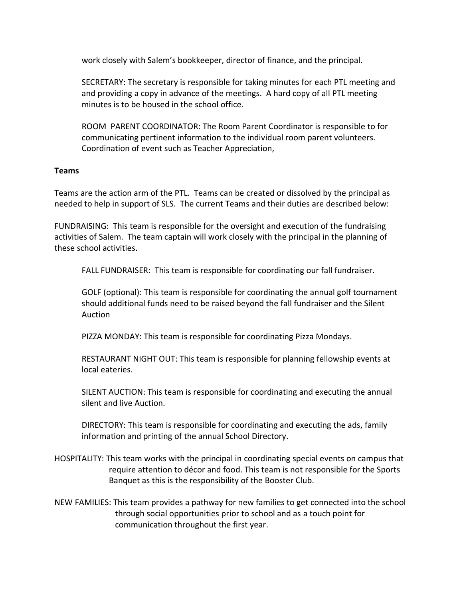work closely with Salem's bookkeeper, director of finance, and the principal.

SECRETARY: The secretary is responsible for taking minutes for each PTL meeting and and providing a copy in advance of the meetings. A hard copy of all PTL meeting minutes is to be housed in the school office.

ROOM PARENT COORDINATOR: The Room Parent Coordinator is responsible to for communicating pertinent information to the individual room parent volunteers. Coordination of event such as Teacher Appreciation,

#### **Teams**

Teams are the action arm of the PTL. Teams can be created or dissolved by the principal as needed to help in support of SLS. The current Teams and their duties are described below:

FUNDRAISING: This team is responsible for the oversight and execution of the fundraising activities of Salem. The team captain will work closely with the principal in the planning of these school activities.

FALL FUNDRAISER: This team is responsible for coordinating our fall fundraiser.

GOLF (optional): This team is responsible for coordinating the annual golf tournament should additional funds need to be raised beyond the fall fundraiser and the Silent Auction

PIZZA MONDAY: This team is responsible for coordinating Pizza Mondays.

RESTAURANT NIGHT OUT: This team is responsible for planning fellowship events at local eateries.

SILENT AUCTION: This team is responsible for coordinating and executing the annual silent and live Auction.

DIRECTORY: This team is responsible for coordinating and executing the ads, family information and printing of the annual School Directory.

- HOSPITALITY: This team works with the principal in coordinating special events on campus that require attention to décor and food. This team is not responsible for the Sports Banquet as this is the responsibility of the Booster Club.
- NEW FAMILIES: This team provides a pathway for new families to get connected into the school through social opportunities prior to school and as a touch point for communication throughout the first year.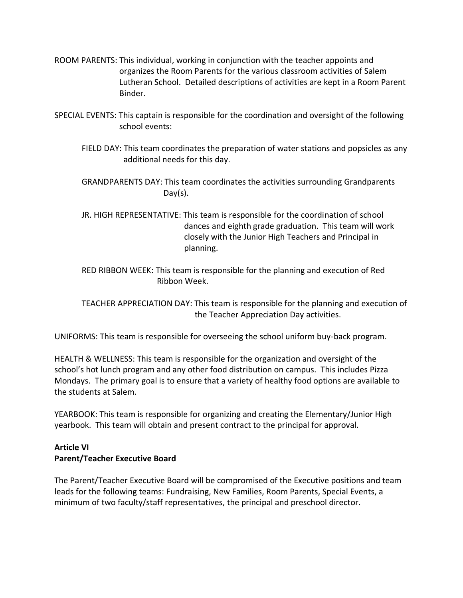- ROOM PARENTS: This individual, working in conjunction with the teacher appoints and organizes the Room Parents for the various classroom activities of Salem Lutheran School. Detailed descriptions of activities are kept in a Room Parent Binder.
- SPECIAL EVENTS: This captain is responsible for the coordination and oversight of the following school events:
	- FIELD DAY: This team coordinates the preparation of water stations and popsicles as any additional needs for this day.
	- GRANDPARENTS DAY: This team coordinates the activities surrounding Grandparents Day(s).
	- JR. HIGH REPRESENTATIVE: This team is responsible for the coordination of school dances and eighth grade graduation. This team will work closely with the Junior High Teachers and Principal in planning.
	- RED RIBBON WEEK: This team is responsible for the planning and execution of Red Ribbon Week.

TEACHER APPRECIATION DAY: This team is responsible for the planning and execution of the Teacher Appreciation Day activities.

UNIFORMS: This team is responsible for overseeing the school uniform buy-back program.

HEALTH & WELLNESS: This team is responsible for the organization and oversight of the school's hot lunch program and any other food distribution on campus. This includes Pizza Mondays. The primary goal is to ensure that a variety of healthy food options are available to the students at Salem.

YEARBOOK: This team is responsible for organizing and creating the Elementary/Junior High yearbook. This team will obtain and present contract to the principal for approval.

## **Article VI Parent/Teacher Executive Board**

The Parent/Teacher Executive Board will be compromised of the Executive positions and team leads for the following teams: Fundraising, New Families, Room Parents, Special Events, a minimum of two faculty/staff representatives, the principal and preschool director.